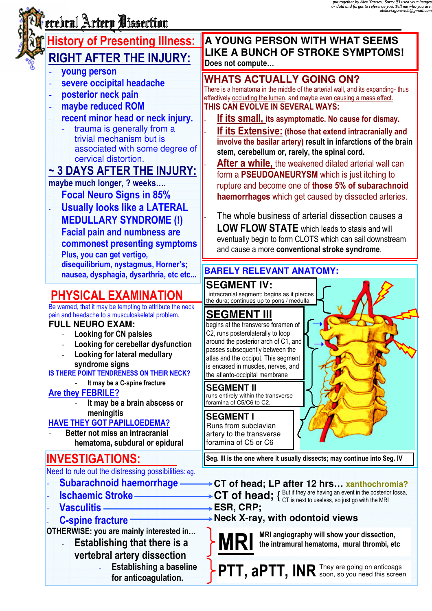# erebral Artery Dissection

## **History of Presenting Illness:** RIGHT AFTER THE INJURY:

- young person
- severe occipital headache
- posterior neck pain
- maybe reduced ROM
- recent minor head or neck injury.
	- trauma is generally from a trivial mechanism but is associated with some degree of cervical distortion.

## ~ 3 DAYS AFTER THE INJURY:

## maybe much longer, ? weeks….

- Focal Neuro Signs in 85%
- Usually looks like a LATERAL MEDULLARY SYNDROME (!)
- **Facial pain and numbness are** commonest presenting symptoms Plus, you can get vertigo.
- disequilibrium, nystagmus, Horner's; nausea, dysphagia, dysarthria, etc etc... -

## PHYSICAL EXAMINATION

Be warned, that it may be tempting to attribute the neck pain and headache to a musculoskeletal problem.

#### **FULL NEURO EXAM:**

- Looking for CN palsies
- Looking for cerebellar dysfunction
- Looking for lateral medullary syndrome signs

IS THERE POINT TENDRENESS ON THEIR NECK?

- It may be a C-spine fracture

### Are they FEBRILE?

It may be a brain abscess or meningitis

### HAVE THEY GOT PAPILLOEDEMA?

Better not miss an intracranial hematoma, subdural or epidural

## INVESTIGATIONS:

Need to rule out the distressing possibilities: eg.

- Subarachnoid haemorrhage
- Ischaemic Stroke
- Vasculitis -

-

#### C-spine fracture

OTHERWISE: you are mainly interested in…

- Establishing that there is a vertebral artery dissection **Establishing a baseline** for anticoagulation.

#### **A YOUNG PERSON WITH WHAT SEEMS LIKE A BUNCH OF STROKE SYMPTOMS!**  Does not compute…

## **WHATS ACTUALLY GOING ON?**

There is a hematoma in the middle of the arterial wall, and its expanding- thus effectively occluding the lumen, and maybe even causing a mass effect. THIS CAN EVOLVE IN SEVERAL WAYS:

If its small, its asymptomatic. No cause for dismay.

If its Extensive: (those that extend intracranially and involve the basilar artery) result in infarctions of the brain stem, cerebellum or, rarely, the spinal cord.

After a while, the weakened dilated arterial wall can form a PSEUDOANEURYSM which is just itching to rupture and become one of those 5% of subarachnoid haemorrhages which get caused by dissected arteries.

The whole business of arterial dissection causes a LOW FLOW STATE which leads to stasis and will eventually begin to form CLOTS which can sail downstream and cause a more conventional stroke syndrome.

## **BARELY RELEVANT ANATOMY:**

**SEGMENT IV:** intracranial segment: begins as it pierces the dura; continues up to pons / medulla

## **SEGMENT III**

begins at the transverse foramen of C2, runs posterolaterally to loop around the posterior arch of C1, and passes subsequently between the atlas and the occiput. This segment is encased in muscles, nerves, and the atlanto-occipital membrane

### **SEGMENT II**

runs entirely within the transverse foramina of C5/C6 to C2.

## **SEGMENT I**

Runs from subclavian artery to the transverse foramina of C5 or C6

Seg. III is the one where it usually dissects; may continue into Seg. IV

- **CT of head; LP after 12 hrs… xanthochromia?**
- **CT of head;**  $\{C^{\text{But if they are having an event in the posterior fossa, C}}\$ CT is next to useless, so just go with the MRI
- **ESR, CRP;**

## **Neck X-ray, with odontoid views**

MRI

MRI angiography will show your dissection, the intramural hematoma, mural thrombi, etc

PTT, aPTT, INR They are going on anticoags soon, so you need this screen